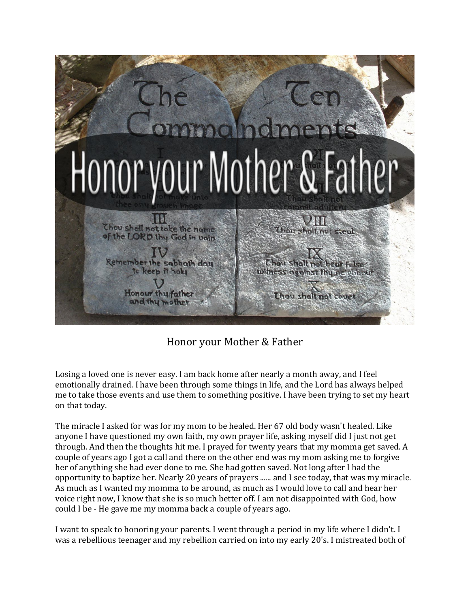

Honor your Mother & Father

Losing a loved one is never easy. I am back home after nearly a month away, and I feel emotionally drained. I have been through some things in life, and the Lord has always helped me to take those events and use them to something positive. I have been trying to set my heart on that today.

The miracle I asked for was for my mom to be healed. Her 67 old body wasn't healed. Like anyone I have questioned my own faith, my own prayer life, asking myself did I just not get through. And then the thoughts hit me. I prayed for twenty years that my momma get saved. A couple of years ago I got a call and there on the other end was my mom asking me to forgive her of anything she had ever done to me. She had gotten saved. Not long after I had the opportunity to baptize her. Nearly 20 years of prayers ...... and I see today, that was my miracle. As much as I wanted my momma to be around, as much as I would love to call and hear her voice right now, I know that she is so much better off. I am not disappointed with God, how could I be - He gave me my momma back a couple of years ago.

I want to speak to honoring your parents. I went through a period in my life where I didn't. I was a rebellious teenager and my rebellion carried on into my early 20's. I mistreated both of